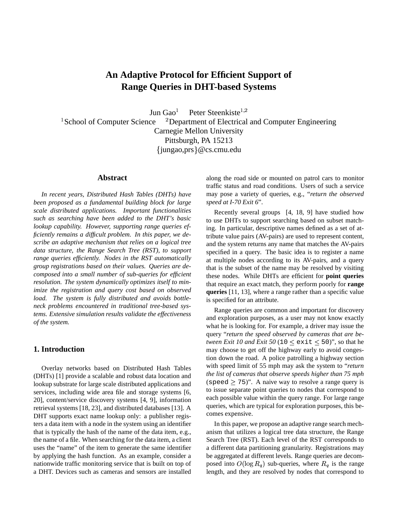# **An Adaptive Protocol for Efficient Support of Range Queries in DHT-based Systems**

Jun Gao<sup>1</sup> Peter Steenkiste $^{1,2}$  ${}^{1}$ School of Computer Science  ${}^{2}$ Depart Department of Electrical and Computer Engineering Carnegie Mellon University Pittsburgh, PA 15213 jungao,prs @cs.cmu.edu

#### **Abstract**

*In recent years, Distributed Hash Tables (DHTs) have been proposed as a fundamental building block for large scale distributed applications. Important functionalities such as searching have been added to the DHT's basic lookup capability. However, supporting range queries efficiently remains a difficult problem. In this paper, we describe an adaptive mechanism that relies on a logical tree data structure, the Range Search Tree (RST), to support range queries efficiently. Nodes in the RST automatically group registrations based on their values. Queries are decomposed into a small number of sub-queries for efficient resolution. The system dynamically optimizes itself to minimize the registration and query cost based on observed load. The system is fully distributed and avoids bottleneck problems encountered in traditional tree-based systems. Extensive simulation results validate the effectiveness of the system.*

### **1. Introduction**

Overlay networks based on Distributed Hash Tables (DHTs) [1] provide a scalable and robust data location and lookup substrate for large scale distributed applications and services, including wide area file and storage systems [6, 20], content/service discovery systems [4, 9], information retrieval systems [18, 23], and distributed databases [13]. A DHT supports exact name lookup only: a publisher registers a data item with a node in the system using an identifier that is typically the hash of the name of the data item, e.g., the name of a file. When searching for the data item, a client uses the "name" of the item to generate the same identifier by applying the hash function. As an example, consider a nationwide traffic monitoring service that is built on top of a DHT. Devices such as cameras and sensors are installed

along the road side or mounted on patrol cars to monitor traffic status and road conditions. Users of such a service may pose a variety of queries, e.g., "*return the observed speed at I-70 Exit 6*".

Recently several groups [4, 18, 9] have studied how to use DHTs to support searching based on subset matching. In particular, descriptive names defined as a set of attribute value pairs (AV-pairs) are used to represent content, and the system returns any name that matches the AV-pairs specified in a query. The basic idea is to register a name at multiple nodes according to its AV-pairs, and a query that is the subset of the name may be resolved by visiting these nodes. While DHTs are efficient for **point queries** that require an exact match, they perform poorly for **range queries** [11, 13], where a range rather than a specific value is specified for an attribute.

Range queries are common and important for discovery and exploration purposes, as a user may not know exactly what he is looking for. For example, a driver may issue the query "*return the speed observed by cameras that are between Exit* 10 *and Exit* 50 (10  $\le$  exit  $\le$  50)", so that he may choose to get off the highway early to avoid congestion down the road. A police patrolling a highway section with speed limit of 55 mph may ask the system to "*return the list of cameras that observe speeds higher than 75 mph* (speed  $\geq$  75)". A naive way to resolve a range query is to issue separate point queries to nodes that correspond to each possible value within the query range. For large range queries, which are typical for exploration purposes, this becomes expensive.

In this paper, we propose an adaptive range search mechanism that utilizes a logical tree data structure, the Range Search Tree (RST). Each level of the RST corresponds to a different data partitioning granularity. Registrations may be aggregated at different levels. Range queries are decomposed into  $O(\log R_q)$  sub-queries, where  $R_q$  is the range length, and they are resolved by nodes that correspond to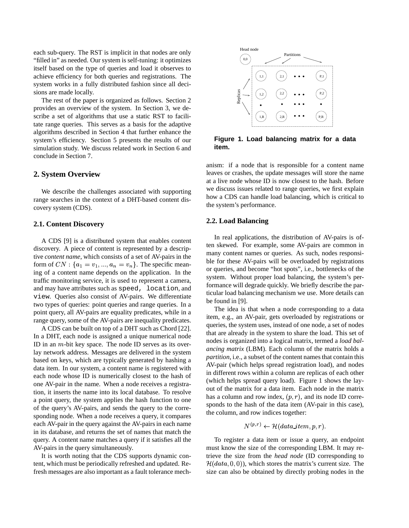each sub-query. The RST is implicit in that nodes are only "filled in" as needed. Our system is self-tuning: it optimizes itself based on the type of queries and load it observes to achieve efficiency for both queries and registrations. The system works in a fully distributed fashion since all decisions are made locally.

The rest of the paper is organized as follows. Section 2 provides an overview of the system. In Section 3, we describe a set of algorithms that use a static RST to facilitate range queries. This serves as a basis for the adaptive algorithms described in Section 4 that further enhance the system's efficiency. Section 5 presents the results of our simulation study. We discuss related work in Section 6 and conclude in Section 7.

# **2. System Overview**

We describe the challenges associated with supporting range searches in the context of a DHT-based content discovery system (CDS).

#### **2.1. Content Discovery**

A CDS [9] is a distributed system that enables content discovery. A piece of content is represented by a descriptive *content name*, which consists of a set of AV-pairs in the form of  $CN: \{a_1 = v_1,..., a_n = v_n\}$ . The specific meaning of a content name depends on the application. In the traffic monitoring service, it is used to represent a camera, and may have attributes such as speed, location, and view. Queries also consist of AV-pairs. We differentiate two types of queries: point queries and range queries. In a point query, all AV-pairs are equality predicates, while in a range query, some of the AV-pairs are inequality predicates.

A CDS can be built on top of a DHT such as Chord [22]. In a DHT, each node is assigned a unique numerical node ID in an  $m$ -bit key space. The node ID serves as its overlay network address. Messages are delivered in the system based on keys, which are typically generated by hashing a data item. In our system, a content name is registered with each node whose ID is numerically closest to the hash of one AV-pair in the name. When a node receives a registration, it inserts the name into its local database. To resolve a point query, the system applies the hash function to one of the query's AV-pairs, and sends the query to the corresponding node. When a node receives a query, it compares each AV-pair in the query against the AV-pairs in each name in its database, and returns the set of names that match the query. A content name matches a query if it satisfies all the AV-pairs in the query simultaneously.

It is worth noting that the CDS supports dynamic content, which must be periodically refreshed and updated. Refresh messages are also important as a fault tolerance mech-



**Figure 1. Load balancing matrix for a data item.**

anism: if a node that is responsible for a content name leaves or crashes, the update messages will store the name at a live node whose ID is now closest to the hash. Before we discuss issues related to range queries, we first explain how a CDS can handle load balancing, which is critical to the system's performance.

#### **2.2. Load Balancing**

In real applications, the distribution of AV-pairs is often skewed. For example, some AV-pairs are common in many content names or queries. As such, nodes responsible for these AV-pairs will be overloaded by registrations or queries, and become "hot spots", i.e., bottlenecks of the system. Without proper load balancing, the system's performance will degrade quickly. We briefly describe the particular load balancing mechanism we use. More details can be found in [9].

The idea is that when a node corresponding to a data item, e.g., an AV-pair, gets overloaded by registrations or queries, the system uses, instead of one node, a set of nodes that are already in the system to share the load. This set of nodes is organized into a logical matrix, termed a *load balancing matrix* (LBM). Each column of the matrix holds a *partition*, i.e., a subset of the content names that contain this AV-pair (which helps spread registration load), and nodes in different rows within a column are replicas of each other (which helps spread query load). Figure 1 shows the layout of the matrix for a data item. Each node in the matrix has a column and row index,  $(p, r)$ , and its node ID corresponds to the hash of the data item (AV-pair in this case), the column, and row indices together:

$$
N^{(p,r)} \leftarrow \mathcal{H}(data\text{.item}, p, r)
$$

To register a data item or issue a query, an endpoint must know the size of the corresponding LBM. It may retrieve the size from the *head node* (ID corresponding to  $H(data, 0, 0)$ , which stores the matrix's current size. The size can also be obtained by directly probing nodes in the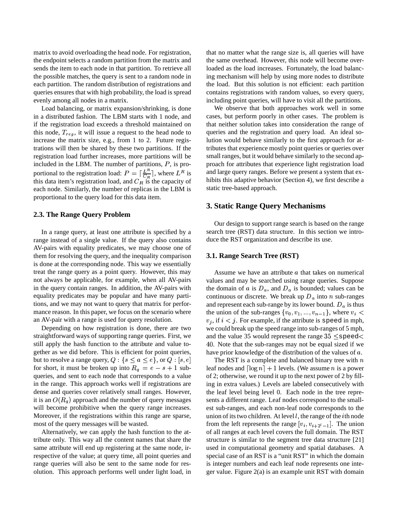matrix to avoid overloading the head node. For registration, the endpoint selects a random partition from the matrix and sends the item to each node in that partition. To retrieve all the possible matches, the query is sent to a random node in each partition. The random distribution of registrations and queries ensures that with high probability, the load is spread evenly among all nodes in a matrix.

Load balancing, or matrix expansion/shrinking, is done in a distributed fashion. The LBM starts with 1 node, and if the registration load exceeds a threshold maintained on this node,  $T_{rea}$ , it will issue a request to the head node to increase the matrix size, e.g., from 1 to 2. Future registrations will then be shared by these two partitions. If the registration load further increases, more partitions will be included in the LBM. The number of partitions,  $P$ , is proportional to the registration load:  $P = \left[\frac{L^2}{C_B}\right]$ , where L a ], where  $L^R$  is and this data item's registration load, and  $C_R$  is the capacity of each node. Similarly, the number of replicas in the LBM is proportional to the query load for this data item.

#### **2.3. The Range Query Problem**

In a range query, at least one attribute is specified by a range instead of a single value. If the query also contains AV-pairs with equality predicates, we may choose one of them for resolving the query, and the inequality comparison is done at the corresponding node. This way we essentially treat the range query as a point query. However, this may not always be applicable, for example, when all AV-pairs in the query contain ranges. In addition, the AV-pairs with equality predicates may be popular and have many partitions, and we may not want to query that matrix for performance reason. In this paper, we focus on the scenario where an AV-pair with a range is used for query resolution.

Depending on how registration is done, there are two straightforward ways of supporting range queries. First, we still apply the hash function to the attribute and value together as we did before. This is efficient for point queries, but to resolve a range query,  $Q: \{s \le a \le e\}$ , or  $Q: [s, e]$ for short, it must be broken up into  $R_q = e - s + 1$  subqueries, and sent to each node that corresponds to a value in the range. This approach works well if registrations are dense and queries cover relatively small ranges. However, it is an  $O(R_q)$  approach and the number of query messages will become prohibitive when the query range increases. Moreover, if the registrations within this range are sparse, most of the query messages will be wasted.

Alternatively, we can apply the hash function to the attribute only. This way all the content names that share the same attribute will end up registering at the same node, irrespective of the value; at query time, all point queries and range queries will also be sent to the same node for resolution. This approach performs well under light load, in that no matter what the range size is, all queries will have the same overhead. However, this node will become overloaded as the load increases. Fortunately, the load balancing mechanism will help by using more nodes to distribute the load. But this solution is not efficient: each partition contains registrations with random values, so every query, including point queries, will have to visit all the partitions.

We observe that both approaches work well in some cases, but perform poorly in other cases. The problem is that neither solution takes into consideration the range of queries and the registration and query load. An ideal solution would behave similarly to the first approach for attributes that experience mostly point queries or queries over small ranges, but it would behave similarly to the second approach for attributes that experience light registration load and large query ranges. Before we present a system that exhibits this adaptive behavior (Section 4), we first describe a static tree-based approach.

## **3. Static Range Query Mechanisms**

Our design to support range search is based on the range search tree (RST) data structure. In this section we introduce the RST organization and describe its use.

#### **3.1. Range Search Tree (RST)**

Assume we have an attribute  $\alpha$  that takes on numerical values and may be searched using range queries. Suppose the domain of a is  $D_a$ , and  $D_a$  is bounded; values can be continuous or discrete. We break up  $D_a$  into  $n$  sub-ranges and represent each sub-range by its lower bound.  $D_a$  is thus the union of the sub-ranges  $\{v_0, v_1, ..., v_{n-1}\}$ , where  $v_i$  $v_j$ , if  $i < j$ . For example, if the attribute is speed in mph, we could break up the speed range into sub-ranges of 5 mph, and the value 35 would represent the range  $35 \le$ speed $\lt$ &. Note that the sub-ranges may not be equal sized if we have prior knowledge of the distribution of the values of  $a$ .

The RST is a complete and balanced binary tree with  $n$ leaf nodes and  $\lceil \log n \rceil + 1$  levels. (We assume *n* is a power of 2; otherwise, we round it up to the next power of 2 by filling in extra values.) Levels are labeled consecutively with the leaf level being level 0. Each node in the tree represents a different range. Leaf nodes correspond to the smallest sub-ranges, and each non-leaf node corresponds to the union of its two children. At level  $l$ , the range of the *i*th node from the left represents the range  $[v_i, v_{i+2^l-1}]$ . The union of all ranges at each level covers the full domain. The RST structure is similar to the segment tree data structure [21] used in computational geometry and spatial databases. A special case of an RST is a "unit RST" in which the domain is integer numbers and each leaf node represents one integer value. Figure 2(a) is an example unit RST with domain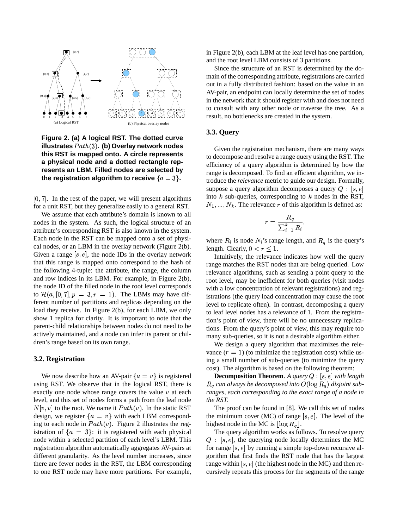

**Figure 2. (a) A logical RST. The dotted curve illustrates**  $Path(3)$ . (b) Overlay network nodes **this RST is mapped onto. A circle represents a physical node and a dotted rectangle represents an LBM. Filled nodes are selected by the registration algorithm to receive**  $\{a = 3\}$ .

 $[0, 7]$ . In the rest of the paper, we will present algorithms for a unit RST, but they generalize easily to a general RST.

We assume that each attribute's domain is known to all nodes in the system. As such, the logical structure of an attribute's corresponding RST is also known in the system. Each node in the RST can be mapped onto a set of physical nodes, or an LBM in the overlay network (Figure 2(b). Given a range  $[s, e]$ , the node IDs in the overlay network that this range is mapped onto correspond to the hash of the following 4-tuple: the attribute, the range, the column and row indices in its LBM. For example, in Figure 2(b), the node ID of the filled node in the root level corresponds to  $\mathcal{H}(a, [0, 7], p = 3, r = 1)$ . The LBMs may have different number of partitions and replicas depending on the load they receive. In Figure 2(b), for each LBM, we only show 1 replica for clarity. It is important to note that the parent-child relationships between nodes do not need to be actively maintained, and a node can infer its parent or children's range based on its own range.

# **3.2. Registration**

We now describe how an AV-pair  $\{a=v\}$  is registered using RST. We observe that in the logical RST, there is exactly one node whose range covers the value  $v$  at each level, and this set of nodes forms a path from the leaf node  $N[v, v]$  to the root. We name it  $Path(v)$ . In the static RST design, we register  $\{a = v\}$  with each LBM corresponding to each node in  $Path(v)$ . Figure 2 illustrates the registration of  $\{a = 3\}$ : it is registered with each physical node within a selected partition of each level's LBM. This registration algorithm automatically aggregates AV-pairs at different granularity. As the level number increases, since there are fewer nodes in the RST, the LBM corresponding to one RST node may have more partitions. For example, in Figure 2(b), each LBM at the leaf level has one partition, and the root level LBM consists of 3 partitions.

Since the structure of an RST is determined by the domain of the corresponding attribute, registrations are carried out in a fully distributed fashion: based on the value in an AV-pair, an endpoint can locally determine the set of nodes in the network that it should register with and does not need to consult with any other node or traverse the tree. As a result, no bottlenecks are created in the system.

### **3.3. Query**

Given the registration mechanism, there are many ways to decompose and resolve a range query using the RST. The efficiency of a query algorithm is determined by how the range is decomposed. To find an efficient algorithm, we introduce the *relevance* metric to guide our design. Formally, suppose a query algorithm decomposes a query  $Q : [s, e]$ into  $k$  sub-queries, corresponding to  $k$  nodes in the RST,  $N_1, ..., N_k$ . The relevance r of this algorithm is defined as:

$$
r=\frac{R_q}{\sum_{i=1}^k R_i},
$$

where  $R_i$  is node  $N_i$ 's range length, and  $R_q$  is the query's length. Clearly,  $0 < r \leq 1$ .

Intuitively, the relevance indicates how well the query range matches the RST nodes that are being queried. Low relevance algorithms, such as sending a point query to the root level, may be inefficient for both queries (visit nodes with a low concentration of relevant registrations) and registrations (the query load concentration may cause the root level to replicate often). In contrast, decomposing a query to leaf level nodes has a relevance of 1. From the registration's point of view, there will be no unnecessary replications. From the query's point of view, this may require too many sub-queries, so it is not a desirable algorithm either.

We design a query algorithm that maximizes the relevance  $(r = 1)$  (to minimize the registration cost) while using a small number of sub-queries (to minimize the query cost). The algorithm is based on the following theorem:

**Decomposition Theorem**. A *query*  $Q : [s, e]$  *with length*  $R_q$  *can always be decomposed into*  $O(\log R_q)$  *disjoint subranges, each corresponding to the exact range of a node in the RST.*

The proof can be found in [8]. We call this set of nodes the minimum cover (MC) of range  $[s, e]$ . The level of the highest node in the MC is  $|\log R_a|$ . hest node in the MC is  $\lfloor \log R_q \rfloor$ .<br>The query algorithm works as follows. To resolve query

 $Q$ : [s, e], the querying node locally determines the MC for range  $[s, e]$  by running a simple top-down recursive algorithm that first finds the RST node that has the largest range within  $[s, e]$  (the highest node in the MC) and then recursively repeats this process for the segments of the range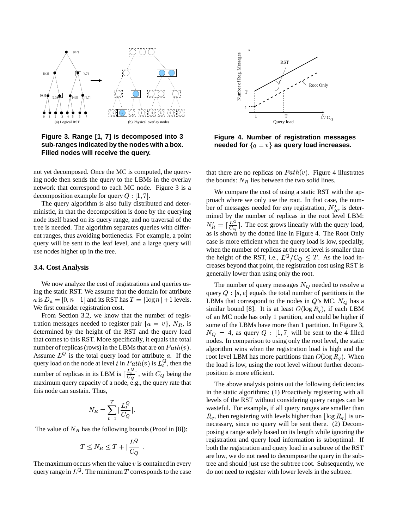

**Figure 3. Range [1, 7] is decomposed into 3 sub-ranges indicated by the nodes with a box. Filled nodes will receive the query.**

not yet decomposed. Once the MC is computed, the querying node then sends the query to the LBMs in the overlay network that correspond to each MC node. Figure 3 is a decomposition example for query  $Q: [1, 7]$ .

The query algorithm is also fully distributed and deterministic, in that the decomposition is done by the querying node itself based on its query range, and no traversal of the tree is needed. The algorithm separates queries with different ranges, thus avoiding bottlenecks. For example, a point query will be sent to the leaf level, and a large query will use nodes higher up in the tree.

#### **3.4. Cost Analysis**

We now analyze the cost of registrations and queries using the static RST. We assume that the domain for attribute a is  $D_a = [0, n-1]$  and its RST has  $T = \lceil \log n \rceil + 1$  levels. We first consider registration cost.

From Section 3.2, we know that the number of registration messages needed to register pair  $\{a = v\}, N_R$ , is determined by the height of the RST and the query load that comes to this RST. More specifically, it equals the total number of replicas (rows) in the LBMs that are on  $Path(v)$ . Assume  $L^Q$  is the total query load for attribute a. If the query load on the node at level t in  $Path(v)$  is  $L_t^{\vee}$ , then the number of replicas in its LBM is  $\left[\frac{L_t}{C_0}\right]$ , with  $C_Q$  being the ----*-*---- maximum query capacity of a node, e.g., the query rate that this node can sustain. Thus,

$$
N_R = \sum_{t=1}^{T} \lceil \frac{L_t^Q}{C_Q} \rceil.
$$

The value of  $N_R$  has the following bounds (Proof in [8]):

$$
T \le N_R \le T + \lceil \frac{L^Q}{C_Q} \rceil.
$$

The maximum occurs when the value  $v$  is contained in every query range in  $L^Q$ . The minimum T corresponds to the case



**Figure 4. Number of registration messages needed** for  ${a = v}$  as query load increases.

that there are no replicas on  $Path(v)$ . Figure 4 illustrates the bounds:  $N_R$  lies between the two solid lines.

We compare the cost of using a static RST with the approach where we only use the root. In that case, the number of messages needed for *any* registration,  $N_R^i$ , is determined by the number of replicas in the root level LBM:  $N'_R = \left[\frac{L^*}{G_0}\right]$ . The cost grows linearly with the query load, as is shown by the dotted line in Figure 4. The Root Only case is more efficient when the query load is low, specially, when the number of replicas at the root level is smaller than the height of the RST, i.e.,  $L^Q/C_Q \leq T$ . As the load increases beyond that point, the registration cost using RST is generally lower than using only the root.

The number of query messages  $N_Q$  needed to resolve a query  $Q : [s, e]$  equals the total number of partitions in the LBMs that correspond to the nodes in  $Q$ 's MC.  $N_Q$  has a similar bound [8]. It is at least  $O(\log R_q)$ , if each LBM of an MC node has only 1 partition, and could be higher if some of the LBMs have more than 1 partition. In Figure 3,  $N_Q = 4$ , as query  $Q : [1, 7]$  will be sent to the 4 filled nodes. In comparison to using only the root level, the static algorithm wins when the registration load is high and the root level LBM has more partitions than  $O(\log R_q)$ . When the load is low, using the root level without further decomposition is more efficient.

The above analysis points out the following deficiencies in the static algorithms: (1) Proactively registering with all levels of the RST without considering query ranges can be wasteful. For example, if all query ranges are smaller than  $R_q$ , then registering with levels higher than  $\lfloor \log R_q \rfloor$  is unnecessary, since no query will be sent there. (2) Decomposing a range solely based on its length while ignoring the registration and query load information is suboptimal. If both the registration and query load in a subtree of the RST are low, we do not need to decompose the query in the subtree and should just use the subtree root. Subsequently, we do not need to register with lower levels in the subtree.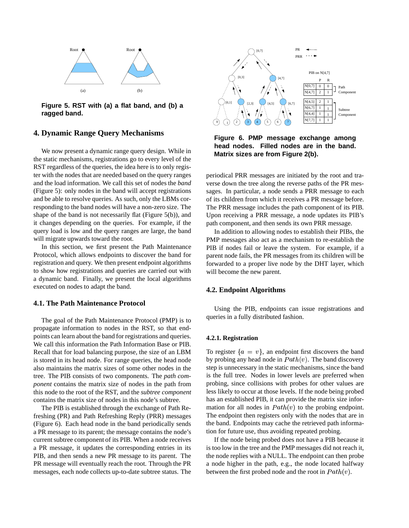

**Figure 5. RST with (a) a flat band, and (b) a ragged band.**

# **4. Dynamic Range Query Mechanisms**

We now present a dynamic range query design. While in the static mechanisms, registrations go to every level of the RST regardless of the queries, the idea here is to only register with the nodes that are needed based on the query ranges and the load information. We call this set of nodes the *band* (Figure 5): only nodes in the band will accept registrations and be able to resolve queries. As such, only the LBMs corresponding to the band nodes will have a non-zero size. The shape of the band is not necessarily flat (Figure 5(b)), and it changes depending on the queries. For example, if the query load is low and the query ranges are large, the band will migrate upwards toward the root.

In this section, we first present the Path Maintenance Protocol, which allows endpoints to discover the band for registration and query. We then present endpoint algorithms to show how registrations and queries are carried out with a dynamic band. Finally, we present the local algorithms executed on nodes to adapt the band.

#### **4.1. The Path Maintenance Protocol**

The goal of the Path Maintenance Protocol (PMP) is to propagate information to nodes in the RST, so that endpoints can learn about the band for registrations and queries. We call this information the Path Information Base or PIB. Recall that for load balancing purpose, the size of an LBM is stored in its head node. For range queries, the head node also maintains the matrix sizes of some other nodes in the tree. The PIB consists of two components. The *path component* contains the matrix size of nodes in the path from this node to the root of the RST, and the *subtree component* contains the matrix size of nodes in this node's subtree.

The PIB is established through the exchange of Path Refreshing (PR) and Path Refreshing Reply (PRR) messages (Figure 6). Each head node in the band periodically sends a PR message to its parent; the message contains the node's current subtree component of its PIB. When a node receives a PR message, it updates the corresponding entries in its PIB, and then sends a new PR message to its parent. The PR message will eventually reach the root. Through the PR messages, each node collects up-to-date subtree status. The



**Figure 6. PMP message exchange among head nodes. Filled nodes are in the band. Matrix sizes are from Figure 2(b).**

periodical PRR messages are initiated by the root and traverse down the tree along the reverse paths of the PR messages. In particular, a node sends a PRR message to each of its children from which it receives a PR message before. The PRR message includes the path component of its PIB. Upon receiving a PRR message, a node updates its PIB's path component, and then sends its own PRR message.

In addition to allowing nodes to establish their PIBs, the PMP messages also act as a mechanism to re-establish the PIB if nodes fail or leave the system. For example, if a parent node fails, the PR messages from its children will be forwarded to a proper live node by the DHT layer, which will become the new parent.

#### **4.2. Endpoint Algorithms**

Using the PIB, endpoints can issue registrations and queries in a fully distributed fashion.

#### **4.2.1. Registration**

To register  $\{a = v\}$ , an endpoint first discovers the band by probing any head node in  $Path(v)$ . The band discovery step is unnecessary in the static mechanisms, since the band is the full tree. Nodes in lower levels are preferred when probing, since collisions with probes for other values are less likely to occur at those levels. If the node being probed has an established PIB, it can provide the matrix size information for all nodes in  $Path(v)$  to the probing endpoint. The endpoint then registers only with the nodes that are in the band. Endpoints may cache the retrieved path information for future use, thus avoiding repeated probing.

If the node being probed does not have a PIB because it is too low in the tree and the PMP messages did not reach it, the node replies with a NULL. The endpoint can then probe a node higher in the path, e.g., the node located halfway between the first probed node and the root in  $Path(v)$ .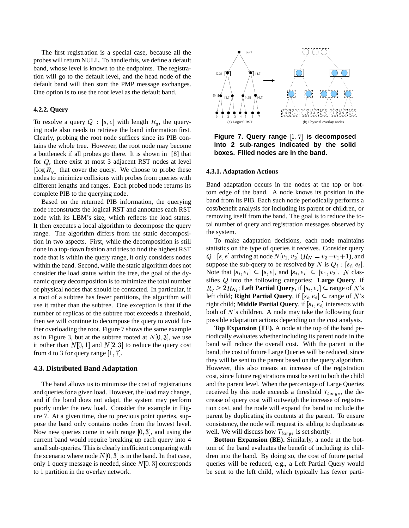The first registration is a special case, because all the probes will return NULL. To handle this, we define a default band, whose level is known to the endpoints. The registration will go to the default level, and the head node of the default band will then start the PMP message exchanges. One option is to use the root level as the default band.

#### **4.2.2. Query**

To resolve a query  $Q : [s, e]$  with length  $R_q$ , the querying node also needs to retrieve the band information first. Clearly, probing the root node suffices since its PIB contains the whole tree. However, the root node may become a bottleneck if all probes go there. It is shown in [8] that for  $Q$ , there exist at most 3 adjacent RST nodes at level  $\log R_q$  that cover the query. We choose to probe these nodes to minimize collisions with probes from queries with different lengths and ranges. Each probed node returns its complete PIB to the querying node.

Based on the returned PIB information, the querying node reconstructs the logical RST and annotates each RST node with its LBM's size, which reflects the load status. It then executes a local algorithm to decompose the query range. The algorithm differs from the static decomposition in two aspects. First, while the decomposition is still done in a top-down fashion and tries to find the highest RST node that is within the query range, it only considers nodes within the band. Second, while the static algorithm does not consider the load status within the tree, the goal of the dynamic query decomposition is to minimize the total number of physical nodes that should be contacted. In particular, if a root of a subtree has fewer partitions, the algorithm will use it rather than the subtree. One exception is that if the number of replicas of the subtree root exceeds a threshold, then we will continue to decompose the query to avoid further overloading the root. Figure 7 shows the same example as in Figure 3, but at the subtree rooted at  $N[0,3]$ , we use it rather than  $N[0, 1]$  and  $N[2, 3]$  to reduce the query cost from 4 to 3 for query range  $[1, 7]$ .

#### **4.3. Distributed Band Adaptation**

The band allows us to minimize the cost of registrations and queries for a given load. However, the load may change, and if the band does not adapt, the system may perform poorly under the new load. Consider the example in Figure 7. At a given time, due to previous point queries, suppose the band only contains nodes from the lowest level. Now new queries come in with range  $[0,3]$ , and using the current band would require breaking up each query into 4 small sub-queries. This is clearly inefficient comparing with the scenario where node  $N[0, 3]$  is in the band. In that case, only 1 query message is needed, since  $N[0, 3]$  corresponds to 1 partition in the overlay network.



**Figure 7. Query range**  $[1, 7]$  is decomposed **into 2 sub-ranges indicated by the solid boxes. Filled nodes are in the band.**

#### **4.3.1. Adaptation Actions**

Band adaptation occurs in the nodes at the top or bottom edge of the band. A node knows its position in the band from its PIB. Each such node periodically performs a cost/benefit analysis for including its parent or children, or removing itself from the band. The goal is to reduce the total number of query and registration messages observed by the system.

To make adaptation decisions, each node maintains statistics on the type of queries it receives. Consider query  $Q: [s, e]$  arriving at node  $N[v_1, v_2]$  ( $R_N = v_2 - v_1 + 1$ ), and suppose the sub-query to be resolved by N is  $Q_i$ :  $[s_i, e_i]$ . Note that  $[s_i, e_i] \subseteq [s, e]$ , and  $[s_i, e_i] \subseteq [v_1, v_2]$ . N classifies Q into the following categories: Large Query, if  $R_q \geq 2R_{N_i}$ ; Left Partial Query, if  $[s_i, e_i] \subseteq \text{range of } N$ 's left child; **Right Partial Query**, if  $[s_i, e_i] \subseteq \text{range of } N$ 's right child; **Middle Partial Query**, if  $[s_i, e_i]$  intersects with both of  $N$ 's children. A node may take the following four possible adaptation actions depending on the cost analysis.

**Top Expansion (TE).** A node at the top of the band periodically evaluates whether including its parent node in the band will reduce the overall cost. With the parent in the band, the cost of future Large Queries will be reduced, since they will be sent to the parent based on the query algorithm. However, this also means an increase of the registration cost, since future registrations must be sent to both the child and the parent level. When the percentage of Large Queries received by this node exceeds a threshold  $T_{large}$ , the decrease of query cost will outweigh the increase of registration cost, and the node will expand the band to include the parent by duplicating its contents at the parent. To ensure consistency, the node will request its sibling to duplicate as well. We will discuss how  $T_{large}$  is set shortly.

**Bottom Expansion (BE).** Similarly, a node at the bottom of the band evaluates the benefit of including its children into the band. By doing so, the cost of future partial queries will be reduced, e.g., a Left Partial Query would be sent to the left child, which typically has fewer parti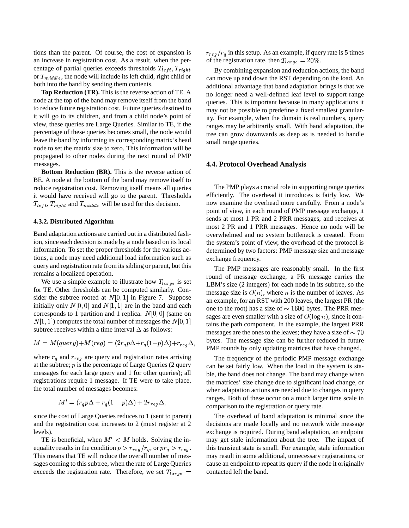tions than the parent. Of course, the cost of expansion is an increase in registration cost. As a result, when the percentage of partial queries exceeds thresholds  $T_{left}, T_{right}$ or  $T_{middle}$ , the node will include its left child, right child or both into the band by sending them contents.

**Top Reduction (TR).** This is the reverse action of TE. A node at the top of the band may remove itself from the band to reduce future registration cost. Future queries destined to it will go to its children, and from a child node's point of view, these queries are Large Queries. Similar to TE, if the percentage of these queries becomes small, the node would leave the band by informing its corresponding matrix's head node to set the matrix size to zero. This information will be propagated to other nodes during the next round of PMP messages.

**Bottom Reduction (BR).** This is the reverse action of BE. A node at the bottom of the band may remove itself to reduce registration cost. Removing itself means all queries it would have received will go to the parent. Thresholds  $T_{left}, T_{right}$  and  $T_{middle}$  will be used for this decision.

#### **4.3.2. Distributed Algorithm**

Band adaptation actions are carried out in a distributed fashion, since each decision is made by a node based on its local information. To set the proper thresholds for the various actions, a node may need additional load information such as query and registration rate from its sibling or parent, but this remains a localized operation.

We use a simple example to illustrate how  $T_{large}$  is set for TE. Other thresholds can be computed similarly. Consider the subtree rooted at  $N[0,1]$  in Figure 7. Suppose initially only  $N[0, 0]$  and  $N[1, 1]$  are in the band and each corresponds to 1 partition and 1 replica.  $N[0,0]$  (same on  $N(1, 1)$  computes the total number of messages the  $N(0, 1)$ subtree receives within a time interval  $\Delta$  as follows:

$$
M = M(query) + M(reg) = (2r_qp\Delta + r_q(1-p)\Delta) + r_{reg}\Delta,
$$

where  $r_q$  and  $r_{reg}$  are query and registration rates arriving at the subtree;  $p$  is the percentage of Large Queries (2 query messages for each large query and 1 for other queries); all registrations require 1 message. If TE were to take place, the total number of messages becomes:

$$
M' = (r_q p \Delta + r_q (1-p) \Delta) + 2r_{reg} \Delta,
$$

since the cost of Large Queries reduces to 1 (sent to parent) and the registration cost increases to 2 (must register at 2 levels).

TE is beneficial, when  $M' < M$  holds. Solving the inequality results in the condition  $p > r_{reg}/r_q$ , or  $pr_q > r_{reg}$ . This means that TE will reduce the overall number of messages coming to this subtree, when the rate of Large Queries exceeds the registration rate. Therefore, we set  $T_{large}$  =

 $r_{reg}/r_q$  in this setup. As an example, if query rate is 5 times of the registration rate, then  $T_{large} = 20\%$ .

By combining expansion and reduction actions, the band can move up and down the RST depending on the load. An additional advantage that band adaptation brings is that we no longer need a well-defined leaf level to support range queries. This is important because in many applications it may not be possible to predefine a fixed smallest granularity. For example, when the domain is real numbers, query ranges may be arbitrarily small. With band adaptation, the tree can grow downwards as deep as is needed to handle small range queries.

#### **4.4. Protocol Overhead Analysis**

The PMP plays a crucial role in supporting range queries efficiently. The overhead it introduces is fairly low. We now examine the overhead more carefully. From a node's point of view, in each round of PMP message exchange, it sends at most 1 PR and 2 PRR messages, and receives at most 2 PR and 1 PRR messages. Hence no node will be overwhelmed and no system bottleneck is created. From the system's point of view, the overhead of the protocol is determined by two factors: PMP message size and message exchange frequency.

The PMP messages are reasonably small. In the first round of message exchange, a PR message carries the LBM's size (2 integers) for each node in its subtree, so the message size is  $O(n)$ , where n is the number of leaves. As an example, for an RST with 200 leaves, the largest PR (the one to the root) has a size of  $\sim 1600$  bytes. The PRR messages are even smaller with a size of  $O(\log n)$ , since it contains the path component. In the example, the largest PRR messages are the ones to the leaves; they have a size of  $\sim$  70 bytes. The message size can be further reduced in future PMP rounds by only updating matrices that have changed.

The frequency of the periodic PMP message exchange can be set fairly low. When the load in the system is stable, the band does not change. The band may change when the matrices' size change due to significant load change, or when adaptation actions are needed due to changes in query ranges. Both of these occur on a much larger time scale in comparison to the registration or query rate.

The overhead of band adaptation is minimal since the decisions are made locally and no network wide message exchange is required. During band adaptation, an endpoint may get stale information about the tree. The impact of this transient state is small. For example, stale information may result in some additional, unnecessary registrations, or cause an endpoint to repeat its query if the node it originally contacted left the band.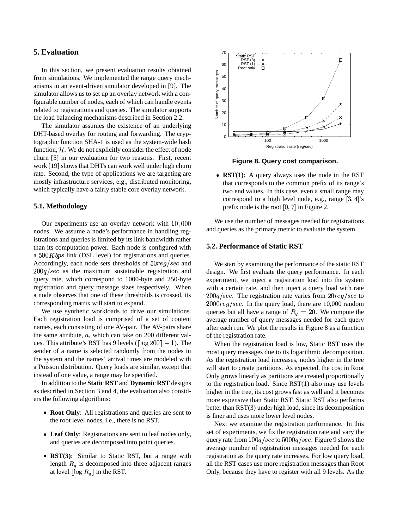# **5. Evaluation**

In this section, we present evaluation results obtained from simulations. We implemented the range query mechanisms in an event-driven simulator developed in [9]. The simulator allows us to set up an overlay network with a configurable number of nodes, each of which can handle events related to registrations and queries. The simulator supports the load balancing mechanisms described in Section 2.2.

The simulator assumes the existence of an underlying DHT-based overlay for routing and forwarding. The cryptographic function SHA-1 is used as the system-wide hash function,  $H$ . We do not explicitly consider the effect of node churn [5] in our evaluation for two reasons. First, recent work [19] shows that DHTs can work well under high churn rate. Second, the type of applications we are targeting are mostly infrastructure services, e.g., distributed monitoring, which typically have a fairly stable core overlay network.

#### **5.1. Methodology**

Our experiments use an overlay network with  $10,000$ nodes. We assume a node's performance in handling registrations and queries is limited by its link bandwidth rather than its computation power. Each node is configured with a  $500Kbps$  link (DSL level) for registrations and queries. Accordingly, each node sets thresholds of  $50reg/sec$  and  $200q/sec$  as the maximum sustainable registration and query rate, which correspond to 1000-byte and 250-byte registration and query message sizes respectively. When a node observes that one of these thresholds is crossed, its corresponding matrix will start to expand.

We use synthetic workloads to drive our simulations. Each registration load is comprised of a set of content names, each consisting of one AV-pair. The AV-pairs share the same attribute,  $a$ , which can take on 200 different values. This attribute's RST has 9 levels ( $\lceil \log 200 \rceil + 1$ ). The sender of a name is selected randomly from the nodes in the system and the names' arrival times are modeled with a Poisson distribution. Query loads are similar, except that instead of one value, a range may be specified.

In addition to the **Static RST** and **Dynamic RST** designs as described in Section 3 and 4, the evaluation also considers the following algorithms:

- Root Only: All registrations and queries are sent to the root level nodes, i.e., there is no RST.
- Leaf Only: Registrations are sent to leaf nodes only, and queries are decomposed into point queries.
- RST(3): Similar to Static RST, but a range with length  $R_q$  is decomposed into three adjacent ranges at level  $\lfloor \log R_q \rfloor$  in the RST.



**Figure 8. Query cost comparison.**

• RST(1): A query always uses the node in the RST that corresponds to the common prefix of its range's two end values. In this case, even a small range may correspond to a high level node, e.g., range  $[3, 4]$ 's prefix node is the root  $[0, 7]$  in Figure 2.

We use the number of messages needed for registrations and queries as the primary metric to evaluate the system.

#### **5.2. Performance of Static RST**

We start by examining the performance of the static RST design. We first evaluate the query performance. In each experiment, we inject a registration load into the system with a certain rate, and then inject a query load with rate  $200q/sec$ . The registration rate varies from  $20reg/sec$  to  $2000 \, reg/sec$ . In the query load, there are 10,000 random queries but all have a range of  $R_q = 20$ . We compute the average number of query messages needed for each query after each run. We plot the results in Figure 8 as a function of the registration rate.

When the registration load is low, Static RST uses the most query messages due to its logarithmic decomposition. As the registration load increases, nodes higher in the tree will start to create partitions. As expected, the cost in Root Only grows linearly as partitions are created proportionally to the registration load. Since RST(1) also may use levels higher in the tree, its cost grows fast as well and it becomes more expensive than Static RST. Static RST also performs better than RST(3) under high load, since its decomposition is finer and uses more lower level nodes.

Next we examine the registration performance. In this set of experiments, we fix the registration rate and vary the query rate from  $100q/sec$  to  $5000q/sec$ . Figure 9 shows the average number of registration messages needed for each registration as the query rate increases. For low query load, all the RST cases use more registration messages than Root Only, because they have to register with all 9 levels. As the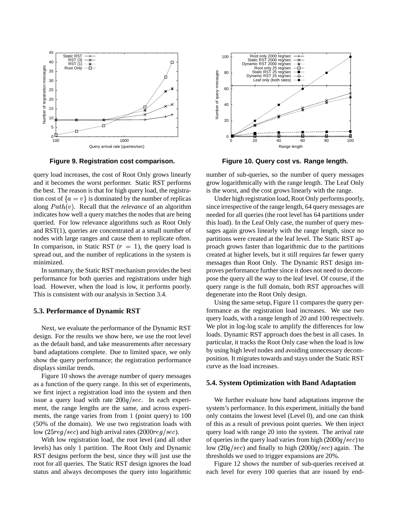

**Figure 9. Registration cost comparison.**

query load increases, the cost of Root Only grows linearly and it becomes the worst performer. Static RST performs the best. The reason is that for high query load, the registration cost of  $\{a=v\}$  is dominated by the number of replicas along  $Path(v)$ . Recall that the *relevance* of an algorithm indicates how well a query matches the nodes that are being queried. For low relevance algorithms such as Root Only and RST(1), queries are concentrated at a small number of nodes with large ranges and cause them to replicate often. In comparison, in Static RST  $(r = 1)$ , the query load is spread out, and the number of replications in the system is minimized.

In summary, the Static RST mechanism provides the best performance for both queries and registrations under high load. However, when the load is low, it performs poorly. This is consistent with our analysis in Section 3.4.

#### **5.3. Performance of Dynamic RST**

Next, we evaluate the performance of the Dynamic RST design. For the results we show here, we use the root level as the default band, and take measurements after necessary band adaptations complete. Due to limited space, we only show the query performance; the registration performance displays similar trends.

Figure 10 shows the average number of query messages as a function of the query range. In this set of experiments, we first inject a registration load into the system and then issue a query load with rate  $200q/sec$ . In each experiment, the range lengths are the same, and across experiments, the range varies from from 1 (point query) to 100 (50% of the domain). We use two registration loads with low  $(25reg/sec)$  and high arrival rates  $(2000reg/sec)$ .

With low registration load, the root level (and all other levels) has only 1 partition. The Root Only and Dynamic RST designs perform the best, since they will just use the root for all queries. The Static RST design ignores the load status and always decomposes the query into logarithmic



**Figure 10. Query cost vs. Range length.**

number of sub-queries, so the number of query messages grow logarithmically with the range length. The Leaf Only is the worst, and the cost grows linearly with the range.

Under high registration load, Root Only performs poorly, since irrespective of the range length, 64 query messages are needed for all queries (the root level has 64 partitions under this load). In the Leaf Only case, the number of query messages again grows linearly with the range length, since no partitions were created at the leaf level. The Static RST approach grows faster than logarithmic due to the partitions created at higher levels, but it still requires far fewer query messages than Root Only. The Dynamic RST design improves performance further since it does not need to decompose the query all the way to the leaf level. Of course, if the query range is the full domain, both RST approaches will degenerate into the Root Only design.

Using the same setup, Figure 11 compares the query performance as the registration load increases. We use two query loads, with a range length of 20 and 100 respectively. We plot in log-log scale to amplify the differences for low loads. Dynamic RST approach does the best in all cases. In particular, it tracks the Root Only case when the load is low by using high level nodes and avoiding unnecessary decomposition. It migrates towards and stays under the Static RST curve as the load increases.

### **5.4. System Optimization with Band Adaptation**

We further evaluate how band adaptations improve the system's performance. In this experiment, initially the band only contains the lowest level (Level 0), and one can think of this as a result of previous point queries. We then inject query load with range 20 into the system. The arrival rate of queries in the query load varies from high  $(2000q/sec)$  to low  $(20q/sec)$  and finally to high  $(2000q/sec)$  again. The thresholds we used to trigger expansions are 20%.

Figure 12 shows the number of sub-queries received at each level for every 100 queries that are issued by end-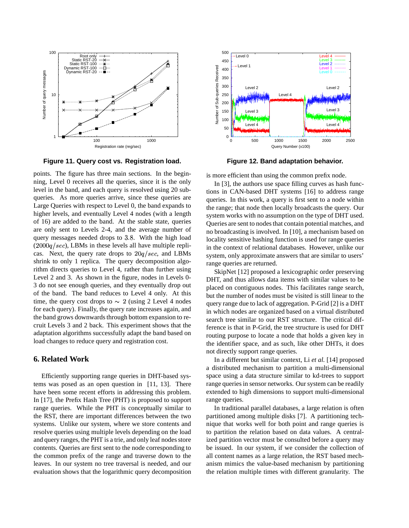

**Figure 11. Query cost vs. Registration load.**

points. The figure has three main sections. In the beginning, Level 0 receives all the queries, since it is the only level in the band, and each query is resolved using 20 subqueries. As more queries arrive, since these queries are Large Queries with respect to Level 0, the band expands to higher levels, and eventually Level 4 nodes (with a length of 16) are added to the band. At the stable state, queries are only sent to Levels 2-4, and the average number of query messages needed drops to 3.8. With the high load  $(2000q/sec)$ , LBMs in these levels all have multiple replicas. Next, the query rate drops to  $20q/sec$ , and LBMs shrink to only 1 replica. The query decomposition algorithm directs queries to Level 4, rather than further using Level 2 and 3. As shown in the figure, nodes in Levels 0- 3 do not see enough queries, and they eventually drop out of the band. The band reduces to Level 4 only. At this time, the query cost drops to  $\sim 2$  (using 2 Level 4 nodes for each query). Finally, the query rate increases again, and the band grows downwards through bottom expansion to recruit Levels 3 and 2 back. This experiment shows that the adaptation algorithms successfully adapt the band based on load changes to reduce query and registration cost.

# **6. Related Work**

Efficiently supporting range queries in DHT-based systems was posed as an open question in [11, 13]. There have been some recent efforts in addressing this problem. In [17], the Prefix Hash Tree (PHT) is proposed to support range queries. While the PHT is conceptually similar to the RST, there are important differences between the two systems. Unlike our system, where we store contents and resolve queries using multiple levels depending on the load and query ranges, the PHT is a trie, and only leaf nodes store contents. Queries are first sent to the node corresponding to the common prefix of the range and traverse down to the leaves. In our system no tree traversal is needed, and our evaluation shows that the logarithmic query decomposition



**Figure 12. Band adaptation behavior.**

is more efficient than using the common prefix node.

In [3], the authors use space filling curves as hash functions in CAN-based DHT systems [16] to address range queries. In this work, a query is first sent to a node within the range; that node then locally broadcasts the query. Our system works with no assumption on the type of DHT used. Queries are sent to nodes that contain potential matches, and no broadcasting is involved. In [10], a mechanism based on locality sensitive hashing function is used for range queries in the context of relational databases. However, unlike our system, only approximate answers that are similar to users' range queries are returned.

SkipNet [12] proposed a lexicographic order preserving DHT, and thus allows data items with similar values to be placed on contiguous nodes. This facilitates range search, but the number of nodes must be visited is still linear to the query range due to lack of aggregation. P-Grid [2] is a DHT in which nodes are organized based on a virtual distributed search tree similar to our RST structure. The critical difference is that in P-Grid, the tree structure is used for DHT routing purpose to locate a node that holds a given key in the identifier space, and as such, like other DHTs, it does not directly support range queries.

In a different but similar context, Li *et al.* [14] proposed a distributed mechanism to partition a multi-dimensional space using a data structure similar to kd-trees to support range queries in sensor networks. Our system can be readily extended to high dimensions to support multi-dimensional range queries.

In traditional parallel databases, a large relation is often partitioned among multiple disks [7]. A partitioning technique that works well for both point and range queries is to partition the relation based on data values. A centralized partition vector must be consulted before a query may be issued. In our system, if we consider the collection of all content names as a large relation, the RST based mechanism mimics the value-based mechanism by partitioning the relation multiple times with different granularity. The